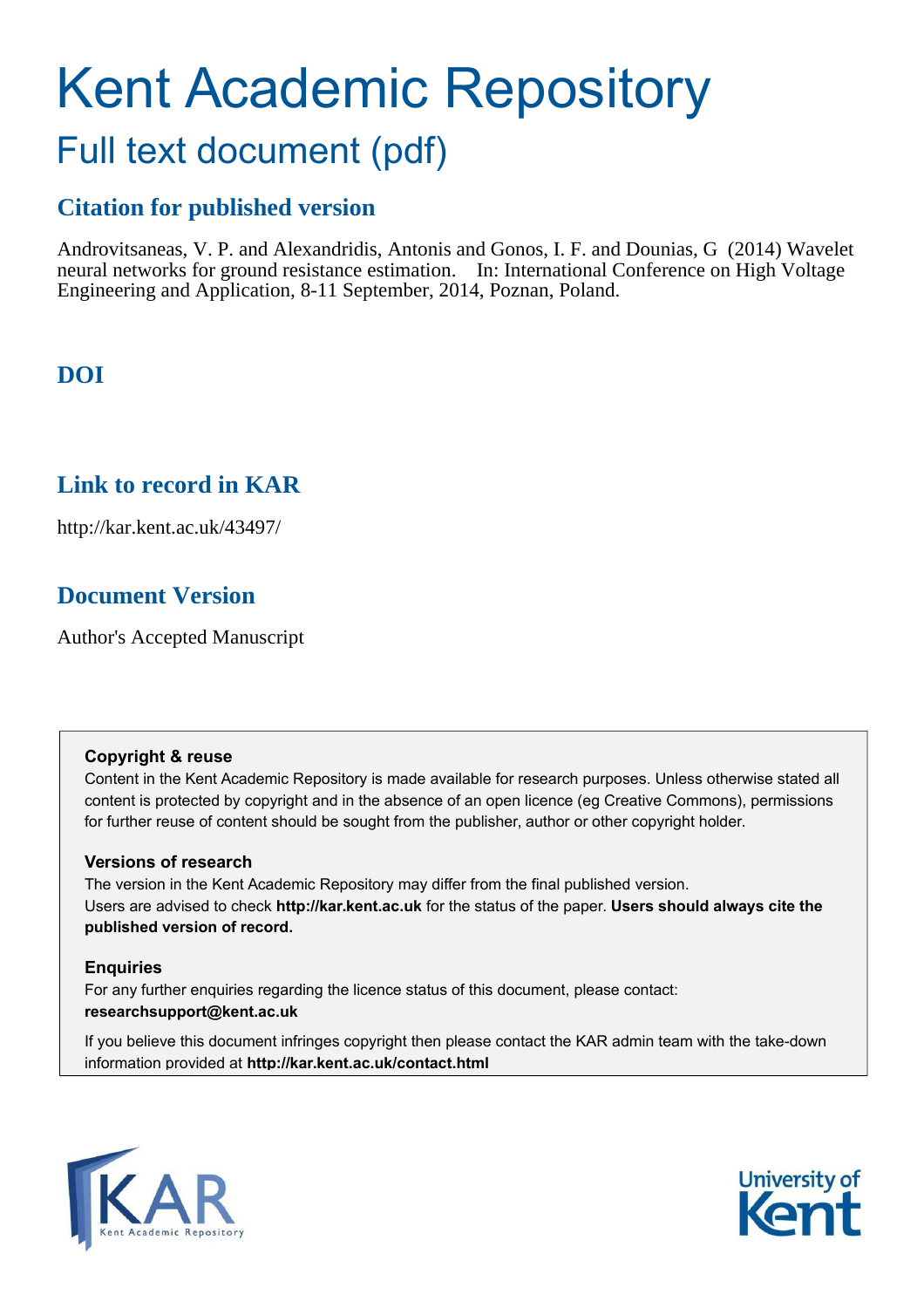# Kent Academic Repository Full text document (pdf)

## **Citation for published version**

Androvitsaneas, V. P. and Alexandridis, Antonis and Gonos, I. F. and Dounias, G (2014) Wavelet neural networks for ground resistance estimation. In: International Conference on High Voltage Engineering and Application, 8-11 September, 2014, Poznan, Poland.

## **DOI**

## **Link to record in KAR**

http://kar.kent.ac.uk/43497/

## **Document Version**

Author's Accepted Manuscript

## **Copyright & reuse**

Content in the Kent Academic Repository is made available for research purposes. Unless otherwise stated all content is protected by copyright and in the absence of an open licence (eg Creative Commons), permissions for further reuse of content should be sought from the publisher, author or other copyright holder.

## **Versions of research**

The version in the Kent Academic Repository may differ from the final published version. Users are advised to check **http://kar.kent.ac.uk** for the status of the paper. **Users should always cite the published version of record.**

## **Enquiries**

For any further enquiries regarding the licence status of this document, please contact: **researchsupport@kent.ac.uk**

If you believe this document infringes copyright then please contact the KAR admin team with the take-down information provided at **http://kar.kent.ac.uk/contact.html**



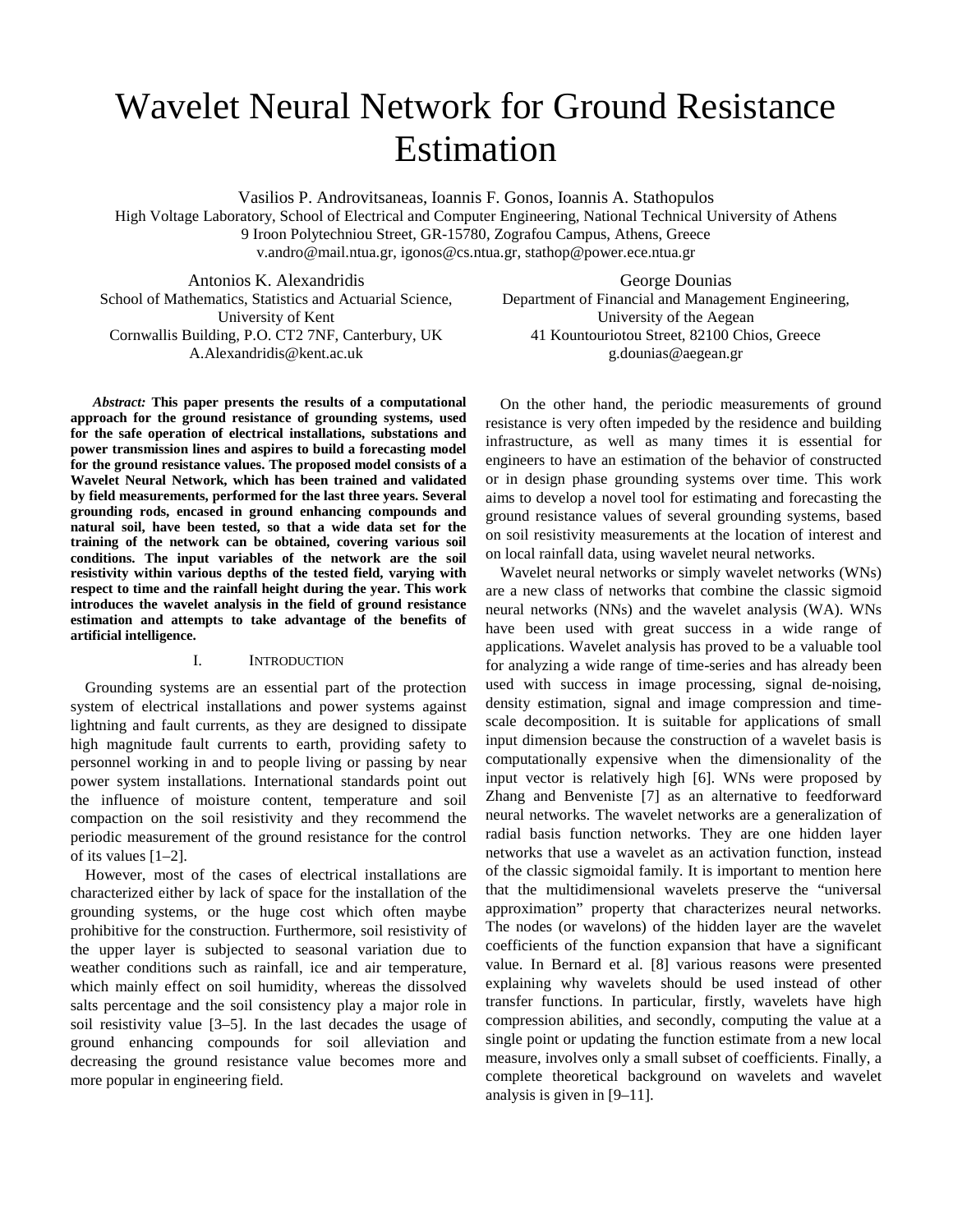## Wavelet Neural Network for Ground Resistance Estimation

Vasilios P. Androvitsaneas, Ioannis F. Gonos, Ioannis A. Stathopulos

High Voltage Laboratory, School of Electrical and Computer Engineering, National Technical University of Athens 9 Iroon Polytechniou Street, GR-15780, Zografou Campus, Athens, Greece v.andro@mail.ntua.gr, igonos@cs.ntua.gr, stathop@power.ece.ntua.gr

Antonios K. Alexandridis School of Mathematics, Statistics and Actuarial Science, University of Kent Cornwallis Building, P.O. CT2 7NF, Canterbury, UK A.Alexandridis@kent.ac.uk

*Abstract:* **This paper presents the results of a computational approach for the ground resistance of grounding systems, used for the safe operation of electrical installations, substations and power transmission lines and aspires to build a forecasting model for the ground resistance values. The proposed model consists of a Wavelet Neural Network, which has been trained and validated by field measurements, performed for the last three years. Several grounding rods, encased in ground enhancing compounds and natural soil, have been tested, so that a wide data set for the training of the network can be obtained, covering various soil conditions. The input variables of the network are the soil resistivity within various depths of the tested field, varying with respect to time and the rainfall height during the year. This work introduces the wavelet analysis in the field of ground resistance estimation and attempts to take advantage of the benefits of artificial intelligence.**

### I. INTRODUCTION

Grounding systems are an essential part of the protection system of electrical installations and power systems against lightning and fault currents, as they are designed to dissipate high magnitude fault currents to earth, providing safety to personnel working in and to people living or passing by near power system installations. International standards point out the influence of moisture content, temperature and soil compaction on the soil resistivity and they recommend the periodic measurement of the ground resistance for the control of its values [1–2].

However, most of the cases of electrical installations are characterized either by lack of space for the installation of the grounding systems, or the huge cost which often maybe prohibitive for the construction. Furthermore, soil resistivity of the upper layer is subjected to seasonal variation due to weather conditions such as rainfall, ice and air temperature, which mainly effect on soil humidity, whereas the dissolved salts percentage and the soil consistency play a major role in soil resistivity value [3–5]. In the last decades the usage of ground enhancing compounds for soil alleviation and decreasing the ground resistance value becomes more and more popular in engineering field.

George Dounias Department of Financial and Management Engineering, University of the Aegean 41 Kountouriotou Street, 82100 Chios, Greece g.dounias@aegean.gr

On the other hand, the periodic measurements of ground resistance is very often impeded by the residence and building infrastructure, as well as many times it is essential for engineers to have an estimation of the behavior of constructed or in design phase grounding systems over time. This work aims to develop a novel tool for estimating and forecasting the ground resistance values of several grounding systems, based on soil resistivity measurements at the location of interest and on local rainfall data, using wavelet neural networks.

Wavelet neural networks or simply wavelet networks (WNs) are a new class of networks that combine the classic sigmoid neural networks (NNs) and the wavelet analysis (WA). WNs have been used with great success in a wide range of applications. Wavelet analysis has proved to be a valuable tool for analyzing a wide range of time-series and has already been used with success in image processing, signal de-noising, density estimation, signal and image compression and timescale decomposition. It is suitable for applications of small input dimension because the construction of a wavelet basis is computationally expensive when the dimensionality of the input vector is relatively high [6]. WNs were proposed by Zhang and Benveniste [7] as an alternative to feedforward neural networks. The wavelet networks are a generalization of radial basis function networks. They are one hidden layer networks that use a wavelet as an activation function, instead of the classic sigmoidal family. It is important to mention here that the multidimensional wavelets preserve the "universal approximation" property that characterizes neural networks. The nodes (or wavelons) of the hidden layer are the wavelet coefficients of the function expansion that have a significant value. In Bernard et al. [8] various reasons were presented explaining why wavelets should be used instead of other transfer functions. In particular, firstly, wavelets have high compression abilities, and secondly, computing the value at a single point or updating the function estimate from a new local measure, involves only a small subset of coefficients. Finally, a complete theoretical background on wavelets and wavelet analysis is given in [9–11].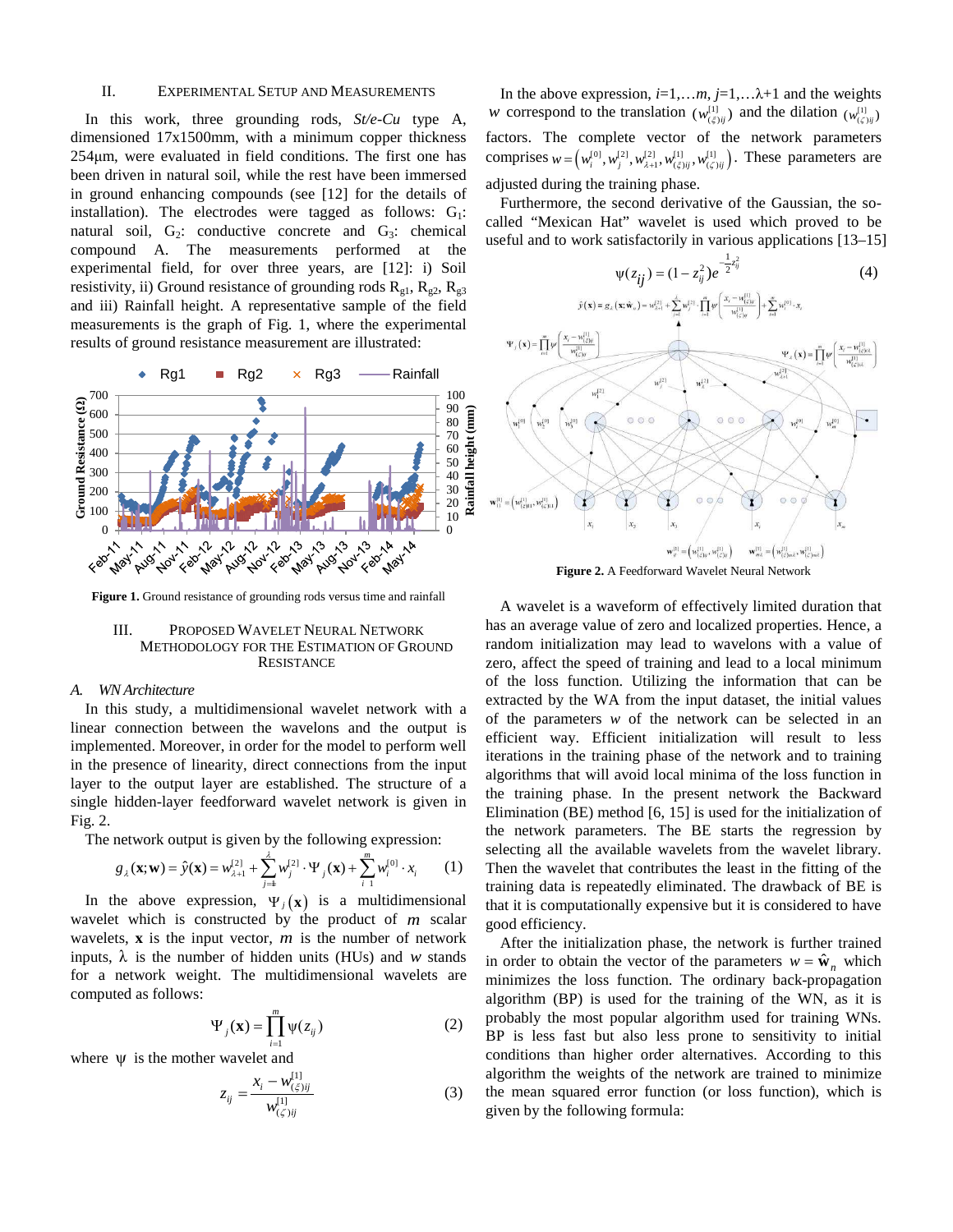### II. EXPERIMENTAL SETUP AND MEASUREMENTS

In this work, three grounding rods, *St/e-Cu* type A, dimensioned 17x1500mm, with a minimum copper thickness  $254\mu$ m, were evaluated in field conditions. The first one has been driven in natural soil, while the rest have been immersed in ground enhancing compounds (see [12] for the details of installation). The electrodes were tagged as follows:  $G_1$ : natural soil,  $G_2$ : conductive concrete and  $G_3$ : chemical compound A. The measurements performed at the experimental field, for over three years, are [12]: i) Soil resistivity, ii) Ground resistance of grounding rods  $R_{g1}$ ,  $R_{g2}$ ,  $R_{g3}$ and iii) Rainfall height. A representative sample of the field measurements is the graph of Fig. 1, where the experimental results of ground resistance measurement are illustrated:



Figure 1. Ground resistance of grounding rods versus time and rainfall

### III. PROPOSED WAVELET NEURAL NETWORK METHODOLOGY FOR THE ESTIMATION OF GROUND **RESISTANCE**

### *A. WN Architecture*

In this study, a multidimensional wavelet network with a linear connection between the wavelons and the output is implemented. Moreover, in order for the model to perform well in the presence of linearity, direct connections from the input layer to the output layer are established. The structure of a single hidden-layer feedforward wavelet network is given in Fig. 2.

The network output is given by the following expression:

$$
g_{\lambda}(\mathbf{x}; \mathbf{w}) = \hat{y}(\mathbf{x}) = w_{\lambda+1}^{[2]} + \sum_{j=1}^{\lambda} w_j^{[2]} \cdot \Psi_j(\mathbf{x}) + \sum_{i=1}^{m} w_i^{[0]} \cdot x_i \qquad (1)
$$

In the above expression,  $\Psi_i(\mathbf{x})$  is a multidimensional wavelet which is constructed by the product of *m* scalar wavelets,  $\bf{x}$  is the input vector,  $\bf{m}$  is the number of network inputs,  $\lambda$  is the number of hidden units (HUs) and *w* stands for a network weight. The multidimensional wavelets are computed as follows:

$$
\Psi_j(\mathbf{x}) = \prod_{i=1}^m \psi(z_{ij})
$$
 (2)

where  $\Psi$  is the mother wavelet and

$$
z_{ij} = \frac{x_i - w_{(\xi)ij}^{[1]}}{w_{(\xi)ij}^{[1]}} \tag{3}
$$

In the above expression,  $i=1,...m, j=1,...\lambda+1$  and the weights *w* correspond to the translation  $(w_{(\xi)ij}^{[1]})$  and the dilation  $(w_{(\zeta)ij}^{[1]})$ factors. The complete vector of the network parameters comprises  $w = (w_i^{[0]}, w_j^{[2]}, w_{\lambda+1}^{[2]}, w_{(\xi)ij}^{[1]}, w_{(\zeta)ij}^{[1]})$ . These parameters are adjusted during the training phase.

Furthermore, the second derivative of the Gaussian, the socalled "Mexican Hat" wavelet is used which proved to be useful and to work satisfactorily in various applications [13–15]

$$
\Psi(z_{ij}) = (1 - z_{ij}^2) e^{-\frac{1}{2}z_{ij}^2}
$$
(4)  

$$
\hat{y}(x) = g_x(x; \hat{w}_x) = w_{x+1}^{23} + \sum_{j=1}^2 w_{j+1}^{(2j)} \prod_{i=1}^m \psi \left(\frac{x_i - w_{i+1}^{(1j)}}{w_{i+1}^{(2j)}}\right) + \sum_{i=1}^m w_{i}^{(0)} \cdot x_i
$$
  

$$
\Psi_y(x) = \prod_{i=1}^m \psi \left(\frac{x_i - w_{i+1}^{(1j)}}{w_{i+1}^{(2j)}}\right)
$$
  

$$
\Psi_y(x) = \prod_{i=1}^m \psi \left(\frac{x_i - w_{i+1}^{(1j)}}{w_{i+1}^{(2j)}}\right)
$$
  

$$
\Psi_y(x) = \prod_{i=1}^m \psi \left(\frac{x_i - w_{i+1}^{(1j)}}{w_{i+1}^{(2j)}}\right)
$$
  

$$
\Psi_y(x) = \prod_{i=1}^m \psi \left(\frac{x_i - w_{i+1}^{(1j)}}{w_{i+1}^{(2j)}}\right)
$$
  

$$
\Psi_y(x) = \prod_{i=1}^m \psi \left(\frac{x_i - w_{i+1}^{(1j)}}{w_{i+1}^{(2j)}}\right)
$$
  

$$
\Psi_y(x) = \prod_{i=1}^m \psi \left(\frac{x_i - w_{i+1}^{(1j)}}{w_{i+1}^{(2j)}}\right)
$$
  

$$
\Psi_y(x) = \prod_{i=1}^m \psi \left(\frac{x_i - w_{i+1}^{(1j)}}{w_{i+1}^{(2j)}}\right)
$$
  

$$
\Psi_y(x) = \prod_{i=1}^m \psi \left(\frac{x_i - w_{i+1}^{(1j)}}{w_{i+1}^{(2j)}}\right)
$$
  

$$
\Psi_y(x) = \prod_{i=1}^m \psi \left(\frac{x_i - w_{i+1}^{(1j)}}{w_{i+1}^{(2j)}}\right)
$$
  

$$
\Psi_y(x) = \prod_{i=1}^m \psi \left(\frac{x_i - w_{i+1}^{(1j)}}{w_{i+1}^{(2j)}}\right)
$$
  

$$
\Psi_y(x) = \prod_{i=
$$

 $\dot{w}$ 

A wavelet is a waveform of effectively limited duration that has an average value of zero and localized properties. Hence, a random initialization may lead to wavelons with a value of zero, affect the speed of training and lead to a local minimum of the loss function. Utilizing the information that can be extracted by the WA from the input dataset, the initial values of the parameters *w* of the network can be selected in an efficient way. Efficient initialization will result to less iterations in the training phase of the network and to training algorithms that will avoid local minima of the loss function in the training phase. In the present network the Backward Elimination (BE) method [6, 15] is used for the initialization of the network parameters. The BE starts the regression by selecting all the available wavelets from the wavelet library. Then the wavelet that contributes the least in the fitting of the training data is repeatedly eliminated. The drawback of BE is that it is computationally expensive but it is considered to have good efficiency.

After the initialization phase, the network is further trained in order to obtain the vector of the parameters  $w = \hat{w}_n$  which minimizes the loss function. The ordinary back-propagation algorithm (BP) is used for the training of the WN, as it is probably the most popular algorithm used for training WNs. BP is less fast but also less prone to sensitivity to initial conditions than higher order alternatives. According to this algorithm the weights of the network are trained to minimize the mean squared error function (or loss function), which is given by the following formula: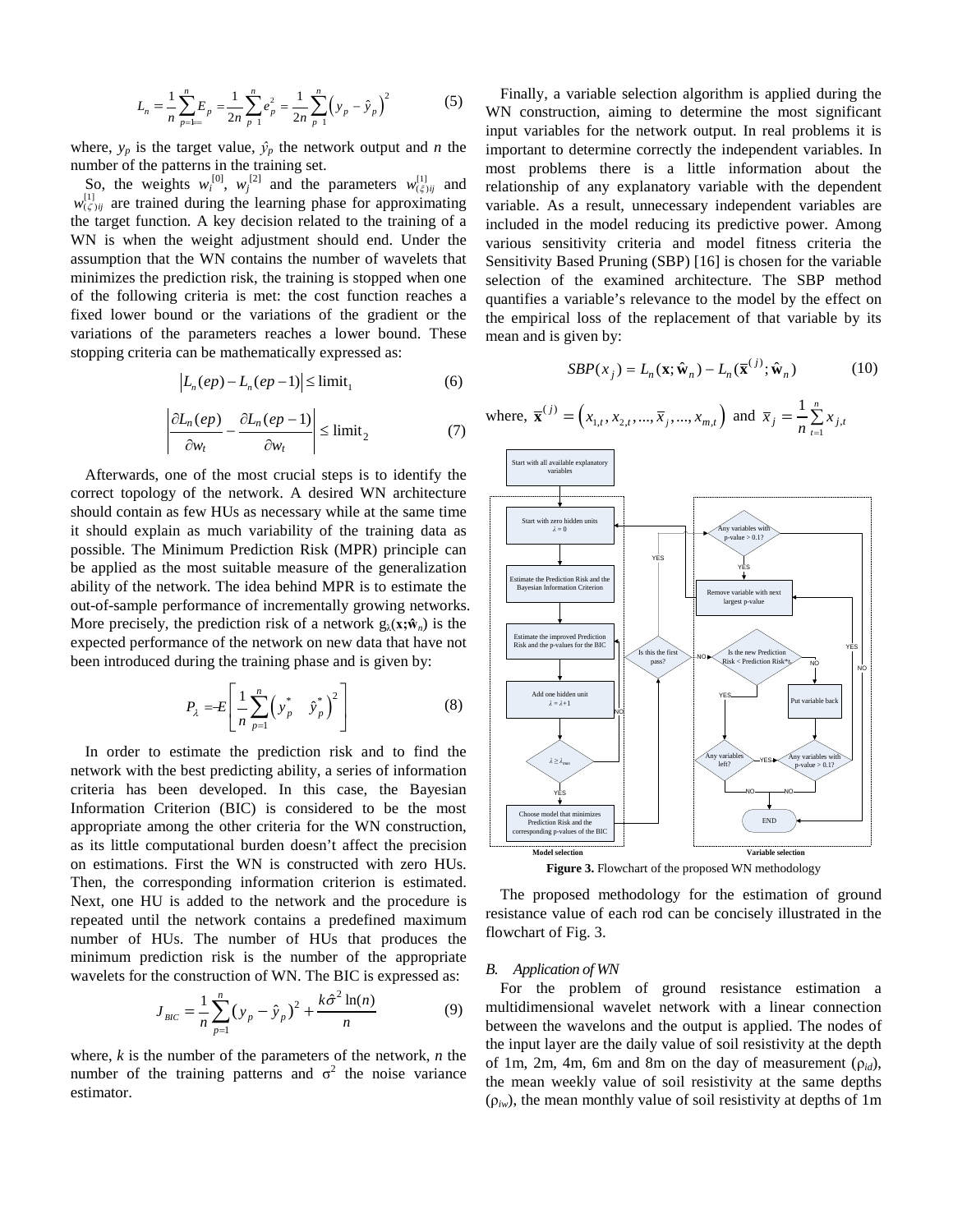$$
L_n = \frac{1}{n} \sum_{p=\pm}^n E_p = \frac{1}{2n} \sum_{p=1}^n e_p^2 = \frac{1}{2n} \sum_{p=1}^n (y_p - \hat{y}_p)^2
$$
(5)

where,  $y_p$  is the target value,  $\hat{y}_p$  the network output and *n* the number of the patterns in the training set.

So, the weights  $w_i^{[0]}, w_j^{[2]}$  and the parameters  $w_{(\xi)}^{[1]}$  and  $w_{(\zeta)}^{[1]}$  are trained during the learning phase for approximating the target function. A key decision related to the training of a WN is when the weight adjustment should end. Under the assumption that the WN contains the number of wavelets that minimizes the prediction risk, the training is stopped when one of the following criteria is met: the cost function reaches a fixed lower bound or the variations of the gradient or the variations of the parameters reaches a lower bound. These stopping criteria can be mathematically expressed as:

$$
\left| L_n(ep) - L_n(ep-1) \right| \leq \lim_{t_1} \tag{6}
$$

$$
\left| \frac{\partial L_n(ep)}{\partial w_t} - \frac{\partial L_n(ep-1)}{\partial w_t} \right| \leq \text{limit}_2 \tag{7}
$$

Afterwards, one of the most crucial steps is to identify the correct topology of the network. A desired WN architecture should contain as few HUs as necessary while at the same time it should explain as much variability of the training data as possible. The Minimum Prediction Risk (MPR) principle can be applied as the most suitable measure of the generalization ability of the network. The idea behind MPR is to estimate the out-of-sample performance of incrementally growing networks. More precisely, the prediction risk of a network  $g_{\lambda}(x; \hat{w}_n)$  is the expected performance of the network on new data that have not been introduced during the training phase and is given by:

$$
P_{\lambda} = E \left[ \frac{1}{n} \sum_{p=1}^{n} \left( y_p^* - \hat{y}_p^* \right)^2 \right]
$$
 (8)

In order to estimate the prediction risk and to find the network with the best predicting ability, a series of information criteria has been developed. In this case, the Bayesian Information Criterion (BIC) is considered to be the most appropriate among the other criteria for the WN construction, as its little computational burden doesn't affect the precision on estimations. First the WN is constructed with zero HUs. Then, the corresponding information criterion is estimated. Next, one HU is added to the network and the procedure is repeated until the network contains a predefined maximum number of HUs. The number of HUs that produces the minimum prediction risk is the number of the appropriate wavelets for the construction of WN. The BIC is expressed as:

$$
J_{BC} = \frac{1}{n} \sum_{p=1}^{n} (y_p - \hat{y}_p)^2 + \frac{k \hat{\sigma}^2 \ln(n)}{n}
$$
 (9)

where, *k* is the number of the parameters of the network, *n* the number of the training patterns and  $\sigma^2$  the noise variance estimator.

Finally, a variable selection algorithm is applied during the WN construction, aiming to determine the most significant input variables for the network output. In real problems it is important to determine correctly the independent variables. In most problems there is a little information about the relationship of any explanatory variable with the dependent variable. As a result, unnecessary independent variables are included in the model reducing its predictive power. Among various sensitivity criteria and model fitness criteria the Sensitivity Based Pruning (SBP) [16] is chosen for the variable selection of the examined architecture. The SBP method quantifies a variable's relevance to the model by the effect on the empirical loss of the replacement of that variable by its mean and is given by:

$$
SBP(x_j) = L_n(\mathbf{x}; \hat{\mathbf{w}}_n) - L_n(\overline{\mathbf{x}}^{(j)}; \hat{\mathbf{w}}_n)
$$
(10)

where,  $\overline{\mathbf{x}}^{(j)} = (x_{1,t}, x_{2,t}, ..., \overline{x}_{j}, ..., x_{m,t})$  $\overline{\mathbf{x}}^{(j)} = (x_{1,t}, x_{2,t}, ..., \overline{x}_j, ..., x_{m,t})$  and  $\overline{x}_j = \frac{1}{n} \sum_{t=1}^{n} x_j$ , 1 *<sup>n</sup>*  $\bar{x}_j = -\sum_{t=1}^{N} x_{j,t}$ 



The proposed methodology for the estimation of ground resistance value of each rod can be concisely illustrated in the flowchart of Fig. 3.

### *B. Application of WN*

For the problem of ground resistance estimation a multidimensional wavelet network with a linear connection between the wavelons and the output is applied. The nodes of the input layer are the daily value of soil resistivity at the depth of 1m, 2m, 4m, 6m and 8m on the day of measurement  $(\rho_{id})$ , the mean weekly value of soil resistivity at the same depths  $(\rho_{iw})$ , the mean monthly value of soil resistivity at depths of 1m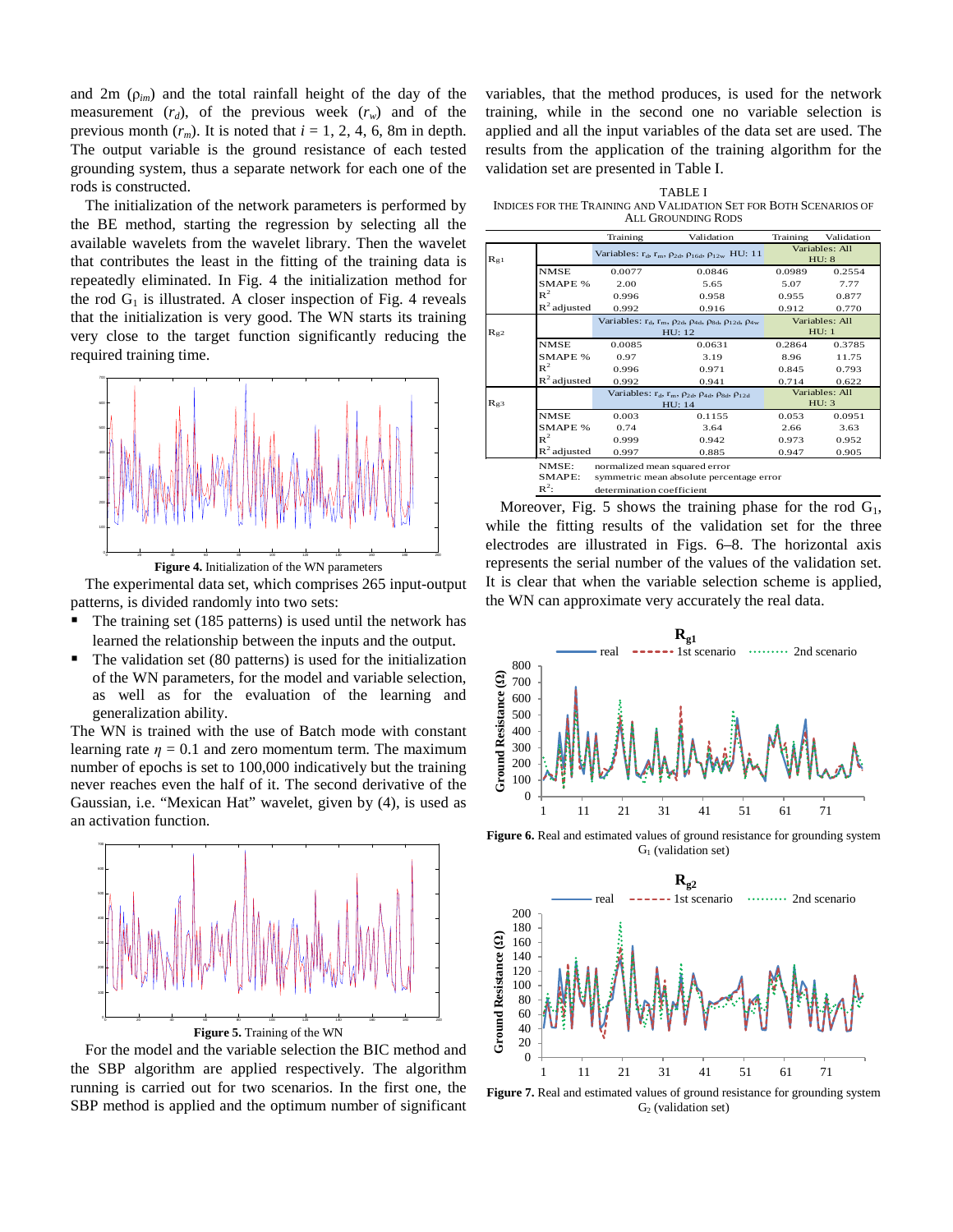and 2m  $(\rho_{im})$  and the total rainfall height of the day of the measurement  $(r_d)$ , of the previous week  $(r_w)$  and of the previous month  $(r_m)$ . It is noted that  $i = 1, 2, 4, 6, 8m$  in depth. The output variable is the ground resistance of each tested grounding system, thus a separate network for each one of the rods is constructed.

The initialization of the network parameters is performed by the BE method, starting the regression by selecting all the available wavelets from the wavelet library. Then the wavelet that contributes the least in the fitting of the training data is repeatedly eliminated. In Fig. 4 the initialization method for the rod  $G_1$  is illustrated. A closer inspection of Fig. 4 reveals that the initialization is very good. The WN starts its training very close to the target function significantly reducing the required training time.





The experimental data set, which comprises 265 input-output patterns, is divided randomly into two sets:

- The training set (185 patterns) is used until the network has learned the relationship between the inputs and the output.
- The validation set (80 patterns) is used for the initialization of the WN parameters, for the model and variable selection, as well as for the evaluation of the learning and generalization ability.

The WN is trained with the use of Batch mode with constant learning rate  $\eta = 0.1$  and zero momentum term. The maximum number of epochs is set to 100,000 indicatively but the training never reaches even the half of it. The second derivative of the Gaussian, i.e. "Mexican Hat" wavelet, given by (4), is used as an activation function.



For the model and the variable selection the BIC method and the SBP algorithm are applied respectively. The algorithm running is carried out for two scenarios. In the first one, the SBP method is applied and the optimum number of significant

variables, that the method produces, is used for the network training, while in the second one no variable selection is applied and all the input variables of the data set are used. The results from the application of the training algorithm for the validation set are presented in Table I.

TABLE I INDICES FOR THE TRAINING AND VALIDATION SET FOR BOTH SCENARIOS OF ALL GROUNDING RODS

|          |                                               | Training                                                                                        | Validation | Training                | Validation |  |
|----------|-----------------------------------------------|-------------------------------------------------------------------------------------------------|------------|-------------------------|------------|--|
| $R_{g1}$ |                                               | Variables: $r_d$ , $r_m$ , $\rho_{2d}$ , $\rho_{16d}$ , $\rho_{12w}$ HU: 11                     |            | Variables: All<br>HU: 8 |            |  |
|          | <b>NMSE</b>                                   | 0.0077                                                                                          | 0.0846     | 0.0989                  | 0.2554     |  |
|          | SMAPE %                                       | 2.00                                                                                            | 5.65       | 5.07                    | 7.77       |  |
|          | $R^2$                                         | 0.996                                                                                           | 0.958      | 0.955                   | 0.877      |  |
|          | $R^2$ adjusted                                | 0.992                                                                                           | 0.916      | 0.912                   | 0.770      |  |
|          |                                               | Variables: $r_d$ , $r_m$ , $\rho_{2d}$ , $\rho_{4d}$ , $\rho_{8d}$ , $\rho_{12d}$ , $\rho_{4w}$ |            | Variables: All          |            |  |
| Rg2      |                                               | HU: 12                                                                                          |            | H U: 1                  |            |  |
|          | <b>NMSE</b>                                   | 0.0085                                                                                          | 0.0631     | 0.2864                  | 0.3785     |  |
|          | <b>SMAPE %</b>                                | 0.97                                                                                            | 3.19       | 8.96                    | 11.75      |  |
|          | $R^2$                                         | 0.996                                                                                           | 0.971      | 0.845                   | 0.793      |  |
|          | $R^2$ adjusted                                | 0.992                                                                                           | 0.941      | 0.714                   | 0.622      |  |
| Rg3      |                                               | Variables: $r_d$ , $r_m$ , $\rho_{2d}$ , $\rho_{4d}$ , $\rho_{8d}$ , $\rho_{12d}$<br>HU: 14     |            | Variables: All<br>HU: 3 |            |  |
|          | <b>NMSE</b>                                   | 0.003                                                                                           | 0.1155     | 0.053                   | 0.0951     |  |
|          | SMAPE %                                       | 0.74                                                                                            | 3.64       | 2.66                    | 3.63       |  |
|          | $R^2$                                         | 0.999                                                                                           | 0.942      | 0.973                   | 0.952      |  |
|          | $R^2$ adjusted                                | 0.997                                                                                           | 0.885      | 0.947                   | 0.905      |  |
|          | NMSE:<br>SMAPE:                               | normalized mean squared error<br>symmetric mean absolute percentage error                       |            |                         |            |  |
|          | $\mathbb{R}^2$ :<br>determination coefficient |                                                                                                 |            |                         |            |  |

Moreover, Fig. 5 shows the training phase for the rod  $G_1$ , while the fitting results of the validation set for the three electrodes are illustrated in Figs. 6–8. The horizontal axis represents the serial number of the values of the validation set. It is clear that when the variable selection scheme is applied, the WN can approximate very accurately the real data.



Figure 6. Real and estimated values of ground resistance for grounding system  $G<sub>1</sub>$  (validation set)



**Figure 7.** Real and estimated values of ground resistance for grounding system  $G<sub>2</sub>$  (validation set)